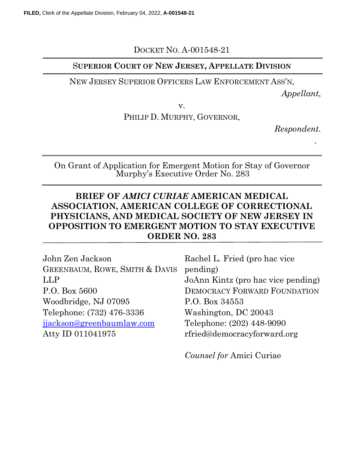# DOCKET NO. A-001548-21

## SUPERIOR COURT OF NEW JERSEY, APPELLATE DIVISION

### NEW JERSEY SUPERIOR OFFICERS LAW ENFORCEMENT ASS'N,

Appellant,

v.

PHILIP D. MURPHY, GOVERNOR,

Respondent.

.

On Grant of Application for Emergent Motion for Stay of Governor Murphy's Executive Order No. 283

# BRIEF OF AMICI CURIAE AMERICAN MEDICAL ASSOCIATION, AMERICAN COLLEGE OF CORRECTIONAL PHYSICIANS, AND MEDICAL SOCIETY OF NEW JERSEY IN OPPOSITION TO EMERGENT MOTION TO STAY EXECUTIVE ORDER NO. 283

| John Zen Jackson               | Rachel L. Fried (pro hac vice       |
|--------------------------------|-------------------------------------|
| GREENBAUM, ROWE, SMITH & DAVIS | pending)                            |
| LLP                            | JoAnn Kintz (pro hac vice pending)  |
| P.O. Box 5600                  | <b>DEMOCRACY FORWARD FOUNDATION</b> |
| Woodbridge, NJ 07095           | P.O. Box 34553                      |
| Telephone: (732) 476-3336      | Washington, DC 20043                |
| jjackson@greenbaumlaw.com      | Telephone: (202) 448-9090           |
| Atty ID 011041975              | rfried@democracyforward.org         |

Counsel for Amici Curiae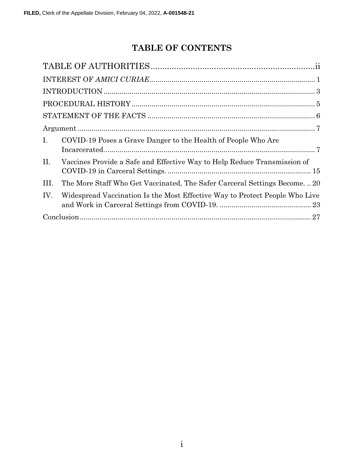# TABLE OF CONTENTS

| I.   | COVID-19 Poses a Grave Danger to the Health of People Who Are               |
|------|-----------------------------------------------------------------------------|
| II.  | Vaccines Provide a Safe and Effective Way to Help Reduce Transmission of    |
| III. | The More Staff Who Get Vaccinated, The Safer Carceral Settings Become20     |
| IV.  | Widespread Vaccination Is the Most Effective Way to Protect People Who Live |
|      |                                                                             |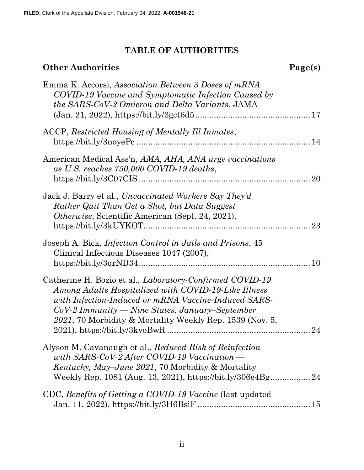# TABLE OF AUTHORITIES

# Other Authorities Page(s)

| Emma K. Accorsi, Association Between 3 Doses of mRNA<br>COVID-19 Vaccine and Symptomatic Infection Caused by<br>the SARS-CoV-2 Omicron and Delta Variants, JAMA                                                                                                                                                         |
|-------------------------------------------------------------------------------------------------------------------------------------------------------------------------------------------------------------------------------------------------------------------------------------------------------------------------|
| ACCP, Restricted Housing of Mentally Ill Inmates,                                                                                                                                                                                                                                                                       |
| American Medical Ass'n, AMA, AHA, ANA urge vaccinations<br>as U.S. reaches 750,000 COVID-19 deaths,<br>20                                                                                                                                                                                                               |
| Jack J. Barry et al., Unvaccinated Workers Say They'd<br>Rather Quit Than Get a Shot, but Data Suggest<br><i>Otherwise</i> , Scientific American (Sept. 24, 2021),<br>23                                                                                                                                                |
| Joseph A. Bick, <i>Infection Control in Jails and Prisons</i> , 45<br>Clinical Infectious Diseases 1047 (2007),                                                                                                                                                                                                         |
| Catherine H. Bozio et al., <i>Laboratory-Confirmed COVID-19</i><br>Among Adults Hospitalized with COVID-19-Like Illness<br>with Infection-Induced or mRNA Vaccine-Induced SARS-<br>$CoV-2\,Immuuity \longrightarrow Nine\, States, January-September$<br>2021, 70 Morbidity & Mortality Weekly Rep. 1539 (Nov. 5,<br>24 |
| Alyson M. Cavanaugh et al., Reduced Risk of Reinfection<br>with SARS-CoV-2 After COVID-19 Vaccination —<br><i>Kentucky, May–June 2021, 70 Morbidity &amp; Mortality</i><br>Weekly Rep. 1081 (Aug. 13, 2021), https://bit.ly/306e4Bg 24                                                                                  |
| CDC, Benefits of Getting a COVID-19 Vaccine (last updated                                                                                                                                                                                                                                                               |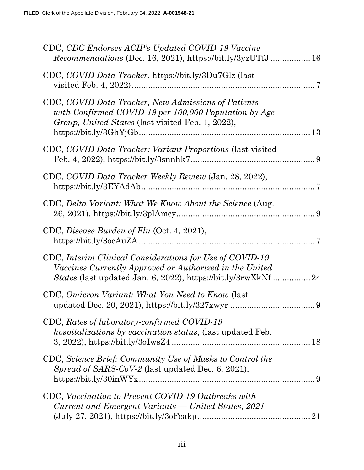| CDC, CDC Endorses ACIP's Updated COVID-19 Vaccine<br><i>Recommendations</i> (Dec. 16, 2021), https://bit.ly/3yzUTfJ 16                                                                                             |
|--------------------------------------------------------------------------------------------------------------------------------------------------------------------------------------------------------------------|
| CDC, COVID Data Tracker, https://bit.ly/3Du7Glz (last                                                                                                                                                              |
| CDC, COVID Data Tracker, New Admissions of Patients<br>with Confirmed COVID-19 per 100,000 Population by Age<br>Group, United States (last visited Feb. 1, 2022),                                                  |
| CDC, COVID Data Tracker: Variant Proportions (last visited                                                                                                                                                         |
| CDC, COVID Data Tracker Weekly Review (Jan. 28, 2022),                                                                                                                                                             |
| CDC, Delta Variant: What We Know About the Science (Aug.                                                                                                                                                           |
| CDC, Disease Burden of Flu (Oct. 4, 2021),                                                                                                                                                                         |
| CDC, Interim Clinical Considerations for Use of COVID-19<br>Vaccines Currently Approved or Authorized in the United                                                                                                |
| CDC, Omicron Variant: What You Need to Know (last                                                                                                                                                                  |
| CDC, Rates of laboratory-confirmed COVID-19<br><i>hospitalizations by vaccination status, (last updated Feb.</i>                                                                                                   |
| CDC, Science Brief: Community Use of Masks to Control the<br>Spread of SARS-CoV-2 (last updated Dec. 6, 2021),                                                                                                     |
| CDC, Vaccination to Prevent COVID-19 Outbreaks with<br>Current and Emergent Variants — United States, 2021<br>$(July 27, 2021), <a href="https://bit.ly/30Fcakp}{https://bit.ly/30Fcakp}{}{}{}{}{}{}{}{}</math>21$ |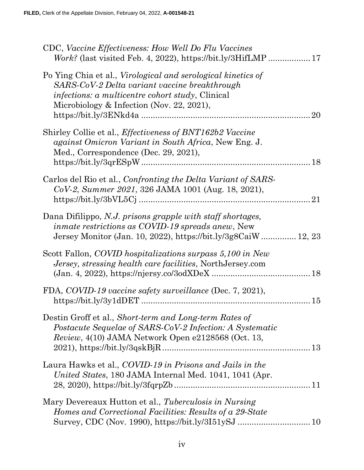| CDC, Vaccine Effectiveness: How Well Do Flu Vaccines                                                                                                                                                                                |
|-------------------------------------------------------------------------------------------------------------------------------------------------------------------------------------------------------------------------------------|
| Po Ying Chia et al., <i>Virological and serological kinetics of</i><br>SARS-CoV-2 Delta variant vaccine breakthrough<br><i>infections: a multicentre cohort study</i> , Clinical<br>Microbiology & Infection (Nov. 22, 2021),<br>20 |
| Shirley Collie et al., <i>Effectiveness of BNT162b2 Vaccine</i><br>against Omicron Variant in South Africa, New Eng. J.<br>Med., Correspondence (Dec. 29, 2021),                                                                    |
| Carlos del Rio et al., Confronting the Delta Variant of SARS-<br>CoV-2, Summer 2021, 326 JAMA 1001 (Aug. 18, 2021),<br>21                                                                                                           |
| Dana Difilippo, N.J. prisons grapple with staff shortages,<br><i>inmate restrictions as COVID-19 spreads anew</i> , New<br>Jersey Monitor (Jan. 10, 2022), https://bit.ly/3g8CaiW 12, 23                                            |
| Scott Fallon, COVID hospitalizations surpass 5,100 in New<br>Jersey, stressing health care facilities, NorthJersey.com                                                                                                              |
| FDA, COVID-19 vaccine safety surveillance (Dec. 7, 2021),<br>15                                                                                                                                                                     |
| Destin Groff et al., Short-term and Long-term Rates of<br>Postacute Sequelae of SARS-CoV-2 Infection: A Systematic<br><i>Review</i> , $4(10)$ JAMA Network Open e2128568 (Oct. 13,                                                  |
| Laura Hawks et al., COVID-19 in Prisons and Jails in the<br>United States, 180 JAMA Internal Med. 1041, 1041 (Apr.                                                                                                                  |
| Mary Devereaux Hutton et al., Tuberculosis in Nursing<br>Homes and Correctional Facilities: Results of a 29-State                                                                                                                   |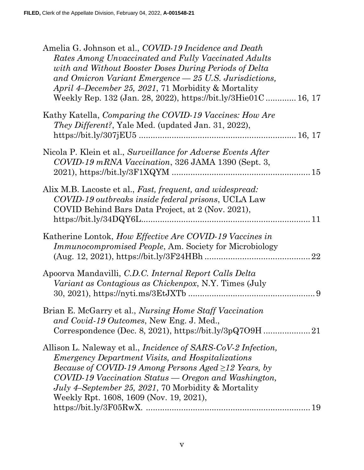| Amelia G. Johnson et al., COVID-19 Incidence and Death<br>Rates Among Unvaccinated and Fully Vaccinated Adults<br>with and Without Booster Doses During Periods of Delta<br>and Omicron Variant Emergence - 25 U.S. Jurisdictions,<br>April 4–December 25, 2021, 71 Morbidity & Mortality<br>Weekly Rep. 132 (Jan. 28, 2022), https://bit.ly/3Hie01C 16, 17                           |  |
|---------------------------------------------------------------------------------------------------------------------------------------------------------------------------------------------------------------------------------------------------------------------------------------------------------------------------------------------------------------------------------------|--|
| Kathy Katella, Comparing the COVID-19 Vaccines: How Are<br>They Different?, Yale Med. (updated Jan. 31, 2022),                                                                                                                                                                                                                                                                        |  |
| Nicola P. Klein et al., Surveillance for Adverse Events After<br>COVID-19 mRNA Vaccination, 326 JAMA 1390 (Sept. 3,                                                                                                                                                                                                                                                                   |  |
| Alix M.B. Lacoste et al., Fast, frequent, and widespread:<br>COVID-19 outbreaks inside federal prisons, UCLA Law<br>COVID Behind Bars Data Project, at 2 (Nov. 2021),                                                                                                                                                                                                                 |  |
| Katherine Lontok, How Effective Are COVID-19 Vaccines in<br><i>Immunocompromised People, Am. Society for Microbiology</i>                                                                                                                                                                                                                                                             |  |
| Apoorva Mandavilli, C.D.C. Internal Report Calls Delta<br>Variant as Contagious as Chickenpox, N.Y. Times (July                                                                                                                                                                                                                                                                       |  |
| Brian E. McGarry et al., Nursing Home Staff Vaccination<br>and Covid-19 Outcomes, New Eng. J. Med.,                                                                                                                                                                                                                                                                                   |  |
| Allison L. Naleway et al., <i>Incidence of SARS-CoV-2 Infection</i> ,<br><i>Emergency Department Visits, and Hospitalizations</i><br><i>Because of COVID-19 Among Persons Aged <math>\geq</math>12 Years, by</i><br>COVID-19 Vaccination Status — Oregon and Washington,<br><i>July 4–September 25, 2021, 70 Morbidity &amp; Mortality</i><br>Weekly Rpt. 1608, 1609 (Nov. 19, 2021), |  |
|                                                                                                                                                                                                                                                                                                                                                                                       |  |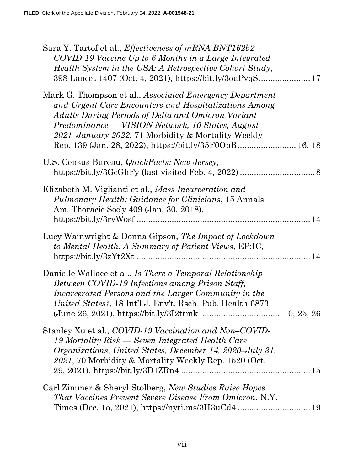| Sara Y. Tartof et al., Effectiveness of mRNA BNT162b2<br>COVID-19 Vaccine Up to 6 Months in a Large Integrated<br>Health System in the USA: A Retrospective Cohort Study,<br>398 Lancet 1407 (Oct. 4, 2021), https://bit.ly/3ouPvqS 17                                                                                                       |
|----------------------------------------------------------------------------------------------------------------------------------------------------------------------------------------------------------------------------------------------------------------------------------------------------------------------------------------------|
| Mark G. Thompson et al., Associated Emergency Department<br>and Urgent Care Encounters and Hospitalizations Among<br>Adults During Periods of Delta and Omicron Variant<br>Predominance — VISION Network, 10 States, August<br>2021–January 2022, 71 Morbidity & Mortality Weekly<br>Rep. 139 (Jan. 28, 2022), https://bit.ly/35F0OpB 16, 18 |
| U.S. Census Bureau, <i>QuickFacts: New Jersey</i> ,                                                                                                                                                                                                                                                                                          |
| Elizabeth M. Viglianti et al., Mass Incarceration and<br><i>Pulmonary Health: Guidance for Clinicians, 15 Annals</i><br>Am. Thoracic Soc'y 409 (Jan, 30, 2018),                                                                                                                                                                              |
| Lucy Wainwright & Donna Gipson, The Impact of Lockdown<br>to Mental Health: A Summary of Patient Views, EP:IC,                                                                                                                                                                                                                               |
| Danielle Wallace et al., Is There a Temporal Relationship<br>Between COVID-19 Infections among Prison Staff,<br>Incarcerated Persons and the Larger Community in the<br>United States?, 18 Int'l J. Env't. Rsch. Pub. Health 6873                                                                                                            |
| Stanley Xu et al., COVID-19 Vaccination and Non-COVID-<br>19 Mortality Risk — Seven Integrated Health Care<br>Organizations, United States, December 14, 2020–July 31,<br>2021, 70 Morbidity & Mortality Weekly Rep. 1520 (Oct.                                                                                                              |
| Carl Zimmer & Sheryl Stolberg, New Studies Raise Hopes<br><i>That Vaccines Prevent Severe Disease From Omicron, N.Y.</i>                                                                                                                                                                                                                     |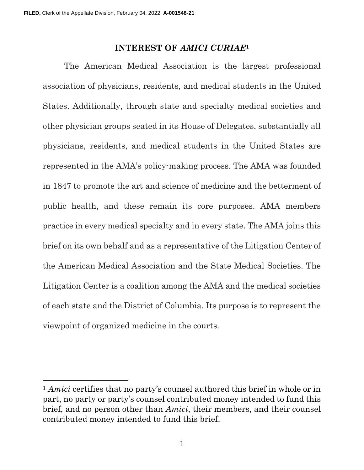#### INTEREST OF AMICI CURIAE<sup>1</sup>

The American Medical Association is the largest professional association of physicians, residents, and medical students in the United States. Additionally, through state and specialty medical societies and other physician groups seated in its House of Delegates, substantially all physicians, residents, and medical students in the United States are represented in the AMA's policy-making process. The AMA was founded in 1847 to promote the art and science of medicine and the betterment of public health, and these remain its core purposes. AMA members practice in every medical specialty and in every state. The AMA joins this brief on its own behalf and as a representative of the Litigation Center of the American Medical Association and the State Medical Societies. The Litigation Center is a coalition among the AMA and the medical societies of each state and the District of Columbia. Its purpose is to represent the viewpoint of organized medicine in the courts.

<sup>&</sup>lt;sup>1</sup> Amici certifies that no party's counsel authored this brief in whole or in part, no party or party's counsel contributed money intended to fund this brief, and no person other than Amici, their members, and their counsel contributed money intended to fund this brief.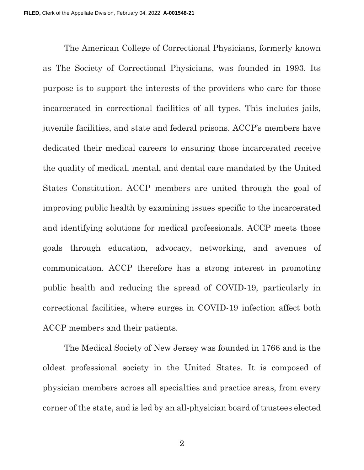The American College of Correctional Physicians, formerly known as The Society of Correctional Physicians, was founded in 1993. Its purpose is to support the interests of the providers who care for those incarcerated in correctional facilities of all types. This includes jails, juvenile facilities, and state and federal prisons. ACCP's members have dedicated their medical careers to ensuring those incarcerated receive the quality of medical, mental, and dental care mandated by the United States Constitution. ACCP members are united through the goal of improving public health by examining issues specific to the incarcerated and identifying solutions for medical professionals. ACCP meets those goals through education, advocacy, networking, and avenues of communication. ACCP therefore has a strong interest in promoting public health and reducing the spread of COVID-19, particularly in correctional facilities, where surges in COVID-19 infection affect both ACCP members and their patients.

The Medical Society of New Jersey was founded in 1766 and is the oldest professional society in the United States. It is composed of physician members across all specialties and practice areas, from every corner of the state, and is led by an all-physician board of trustees elected

2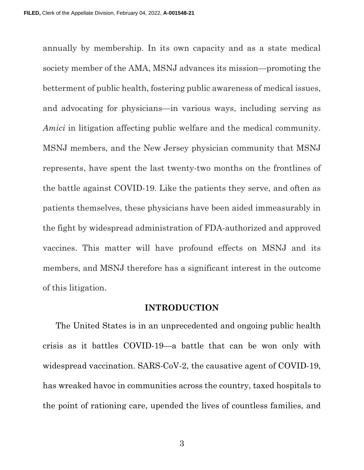annually by membership. In its own capacity and as a state medical society member of the AMA, MSNJ advances its mission—promoting the betterment of public health, fostering public awareness of medical issues, and advocating for physicians—in various ways, including serving as Amici in litigation affecting public welfare and the medical community. MSNJ members, and the New Jersey physician community that MSNJ represents, have spent the last twenty-two months on the frontlines of the battle against COVID-19. Like the patients they serve, and often as patients themselves, these physicians have been aided immeasurably in the fight by widespread administration of FDA-authorized and approved vaccines. This matter will have profound effects on MSNJ and its members, and MSNJ therefore has a significant interest in the outcome of this litigation.

#### INTRODUCTION

The United States is in an unprecedented and ongoing public health crisis as it battles COVID-19—a battle that can be won only with widespread vaccination. SARS-CoV-2, the causative agent of COVID-19, has wreaked havoc in communities across the country, taxed hospitals to the point of rationing care, upended the lives of countless families, and

3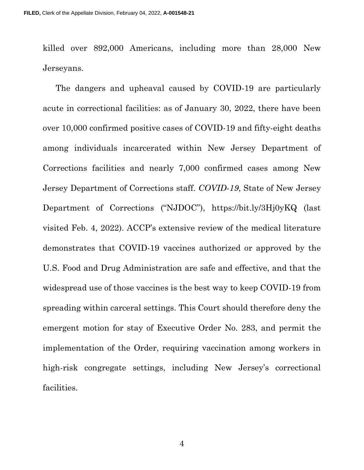killed over 892,000 Americans, including more than 28,000 New Jerseyans.

The dangers and upheaval caused by COVID-19 are particularly acute in correctional facilities: as of January 30, 2022, there have been over 10,000 confirmed positive cases of COVID-19 and fifty-eight deaths among individuals incarcerated within New Jersey Department of Corrections facilities and nearly 7,000 confirmed cases among New Jersey Department of Corrections staff. COVID-19, State of New Jersey Department of Corrections ("NJDOC"), https://bit.ly/3Hj0yKQ (last visited Feb. 4, 2022). ACCP's extensive review of the medical literature demonstrates that COVID-19 vaccines authorized or approved by the U.S. Food and Drug Administration are safe and effective, and that the widespread use of those vaccines is the best way to keep COVID-19 from spreading within carceral settings. This Court should therefore deny the emergent motion for stay of Executive Order No. 283, and permit the implementation of the Order, requiring vaccination among workers in high-risk congregate settings, including New Jersey's correctional facilities.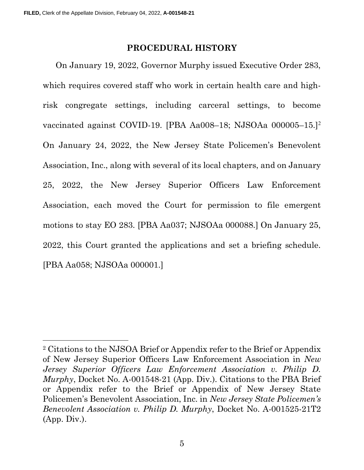#### PROCEDURAL HISTORY

On January 19, 2022, Governor Murphy issued Executive Order 283, which requires covered staff who work in certain health care and highrisk congregate settings, including carceral settings, to become vaccinated against COVID-19. [PBA Aa008–18; NJSOAa 000005–15.]<sup>2</sup> On January 24, 2022, the New Jersey State Policemen's Benevolent Association, Inc., along with several of its local chapters, and on January 25, 2022, the New Jersey Superior Officers Law Enforcement Association, each moved the Court for permission to file emergent motions to stay EO 283. [PBA Aa037; NJSOAa 000088.] On January 25, 2022, this Court granted the applications and set a briefing schedule. [PBA Aa058; NJSOAa 000001.]

<sup>2</sup> Citations to the NJSOA Brief or Appendix refer to the Brief or Appendix of New Jersey Superior Officers Law Enforcement Association in New Jersey Superior Officers Law Enforcement Association v. Philip D. Murphy, Docket No. A-001548-21 (App. Div.). Citations to the PBA Brief or Appendix refer to the Brief or Appendix of New Jersey State Policemen's Benevolent Association, Inc. in New Jersey State Policemen's Benevolent Association v. Philip D. Murphy, Docket No. A-001525-21T2 (App. Div.).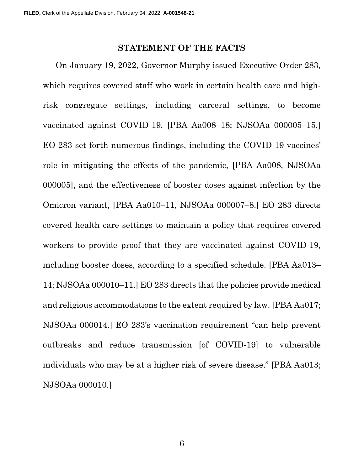#### STATEMENT OF THE FACTS

On January 19, 2022, Governor Murphy issued Executive Order 283, which requires covered staff who work in certain health care and highrisk congregate settings, including carceral settings, to become vaccinated against COVID-19. [PBA Aa008–18; NJSOAa 000005–15.] EO 283 set forth numerous findings, including the COVID-19 vaccines' role in mitigating the effects of the pandemic, [PBA Aa008, NJSOAa 000005], and the effectiveness of booster doses against infection by the Omicron variant, [PBA Aa010–11, NJSOAa 000007–8.] EO 283 directs covered health care settings to maintain a policy that requires covered workers to provide proof that they are vaccinated against COVID-19, including booster doses, according to a specified schedule. [PBA Aa013– 14; NJSOAa 000010–11.] EO 283 directs that the policies provide medical and religious accommodations to the extent required by law. [PBA Aa017; NJSOAa 000014.] EO 283's vaccination requirement "can help prevent outbreaks and reduce transmission [of COVID-19] to vulnerable individuals who may be at a higher risk of severe disease." [PBA Aa013; NJSOAa 000010.]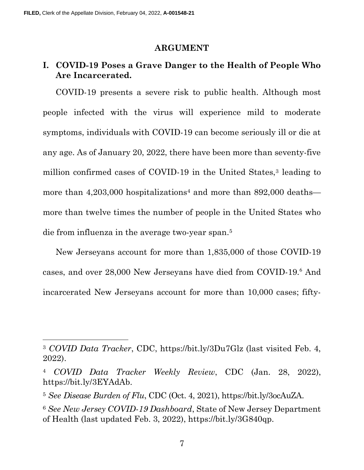#### ARGUMENT

## I. COVID-19 Poses a Grave Danger to the Health of People Who Are Incarcerated.

COVID-19 presents a severe risk to public health. Although most people infected with the virus will experience mild to moderate symptoms, individuals with COVID-19 can become seriously ill or die at any age. As of January 20, 2022, there have been more than seventy-five million confirmed cases of COVID-19 in the United States,<sup>3</sup> leading to more than  $4,203,000$  hospitalizations<sup>4</sup> and more than  $892,000$  deaths more than twelve times the number of people in the United States who die from influenza in the average two-year span.<sup>5</sup>

New Jerseyans account for more than 1,835,000 of those COVID-19 cases, and over 28,000 New Jerseyans have died from COVID-19.<sup>6</sup> And incarcerated New Jerseyans account for more than 10,000 cases; fifty-

<sup>3</sup> COVID Data Tracker, CDC, https://bit.ly/3Du7Glz (last visited Feb. 4, 2022).

<sup>4</sup> COVID Data Tracker Weekly Review, CDC (Jan. 28, 2022), https://bit.ly/3EYAdAb.

<sup>5</sup> See Disease Burden of Flu, CDC (Oct. 4, 2021), https://bit.ly/3ocAuZA.

<sup>6</sup> See New Jersey COVID-19 Dashboard, State of New Jersey Department of Health (last updated Feb. 3, 2022), https://bit.ly/3G840qp.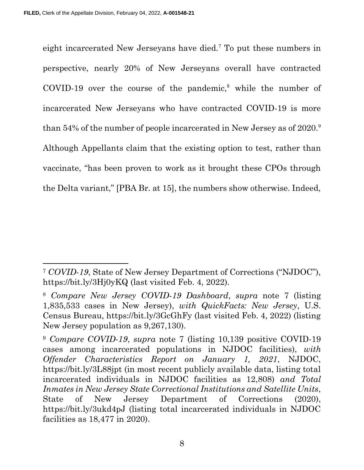eight incarcerated New Jerseyans have died.<sup>7</sup> To put these numbers in perspective, nearly 20% of New Jerseyans overall have contracted  $\text{COVID-19}$  over the course of the pandemic,<sup>8</sup> while the number of incarcerated New Jerseyans who have contracted COVID-19 is more than 54% of the number of people incarcerated in New Jersey as of 2020.<sup>9</sup> Although Appellants claim that the existing option to test, rather than vaccinate, "has been proven to work as it brought these CPOs through the Delta variant," [PBA Br. at 15], the numbers show otherwise. Indeed,

<sup>7</sup> COVID-19, State of New Jersey Department of Corrections ("NJDOC"), https://bit.ly/3Hj0yKQ (last visited Feb. 4, 2022).

<sup>8</sup> Compare New Jersey COVID-19 Dashboard, supra note 7 (listing 1,835,533 cases in New Jersey), with QuickFacts: New Jersey, U.S. Census Bureau, https://bit.ly/3GcGhFy (last visited Feb. 4, 2022) (listing New Jersey population as 9,267,130).

<sup>9</sup> Compare COVID-19, supra note 7 (listing 10,139 positive COVID-19 cases among incarcerated populations in NJDOC facilities), with Offender Characteristics Report on January 1, 2021, NJDOC, https://bit.ly/3L88jpt (in most recent publicly available data, listing total incarcerated individuals in NJDOC facilities as 12,808) and Total Inmates in New Jersey State Correctional Institutions and Satellite Units, State of New Jersey Department of Corrections (2020), https://bit.ly/3ukd4pJ (listing total incarcerated individuals in NJDOC facilities as 18,477 in 2020).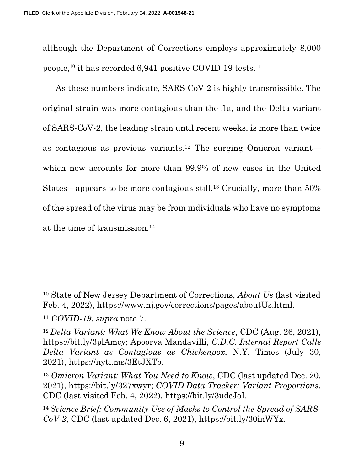although the Department of Corrections employs approximately 8,000 people,<sup>10</sup> it has recorded 6,941 positive COVID-19 tests.<sup>11</sup>

As these numbers indicate, SARS-CoV-2 is highly transmissible. The original strain was more contagious than the flu, and the Delta variant of SARS-CoV-2, the leading strain until recent weeks, is more than twice as contagious as previous variants.12 The surging Omicron variant which now accounts for more than 99.9% of new cases in the United States—appears to be more contagious still.13 Crucially, more than 50% of the spread of the virus may be from individuals who have no symptoms at the time of transmission.<sup>14</sup>

<sup>10</sup> State of New Jersey Department of Corrections, About Us (last visited Feb. 4, 2022), https://www.nj.gov/corrections/pages/aboutUs.html.

<sup>11</sup> COVID-19, supra note 7.

 $12\Delta$  Delta Variant: What We Know About the Science, CDC (Aug. 26, 2021), https://bit.ly/3plAmcy; Apoorva Mandavilli, C.D.C. Internal Report Calls Delta Variant as Contagious as Chickenpox, N.Y. Times (July 30, 2021), https://nyti.ms/3EtJXTb.

<sup>&</sup>lt;sup>13</sup> Omicron Variant: What You Need to Know, CDC (last updated Dec. 20, 2021), https://bit.ly/327xwyr; COVID Data Tracker: Variant Proportions, CDC (last visited Feb. 4, 2022), https://bit.ly/3udcJoI.

<sup>14</sup> Science Brief: Community Use of Masks to Control the Spread of SARS- $CoV-2$ , CDC (last updated Dec. 6, 2021), https://bit.ly/30inWYx.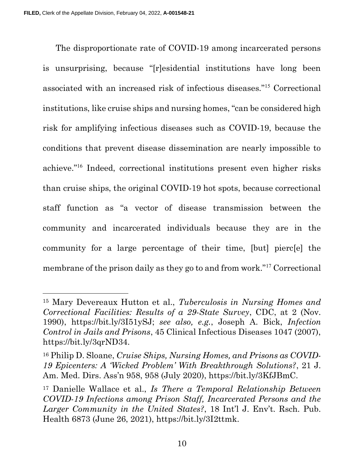The disproportionate rate of COVID-19 among incarcerated persons is unsurprising, because "[r]esidential institutions have long been associated with an increased risk of infectious diseases."<sup>15</sup> Correctional institutions, like cruise ships and nursing homes, "can be considered high risk for amplifying infectious diseases such as COVID-19, because the conditions that prevent disease dissemination are nearly impossible to achieve."<sup>16</sup> Indeed, correctional institutions present even higher risks than cruise ships, the original COVID-19 hot spots, because correctional staff function as "a vector of disease transmission between the community and incarcerated individuals because they are in the community for a large percentage of their time, [but] pierc[e] the membrane of the prison daily as they go to and from work."<sup>17</sup> Correctional

<sup>15</sup> Mary Devereaux Hutton et al., Tuberculosis in Nursing Homes and Correctional Facilities: Results of a 29-State Survey, CDC, at 2 (Nov. 1990), https://bit.ly/3I51ySJ; see also, e.g., Joseph A. Bick, Infection Control in Jails and Prisons, 45 Clinical Infectious Diseases 1047 (2007), https://bit.ly/3qrND34.

<sup>16</sup> Philip D. Sloane, Cruise Ships, Nursing Homes, and Prisons as COVID-19 Epicenters: A 'Wicked Problem' With Breakthrough Solutions?, 21 J. Am. Med. Dirs. Ass'n 958, 958 (July 2020), https://bit.ly/3KfJBmC.

<sup>17</sup> Danielle Wallace et al., Is There a Temporal Relationship Between COVID-19 Infections among Prison Staff, Incarcerated Persons and the Larger Community in the United States?, 18 Int'l J. Env't. Rsch. Pub. Health 6873 (June 26, 2021), https://bit.ly/3I2ttmk.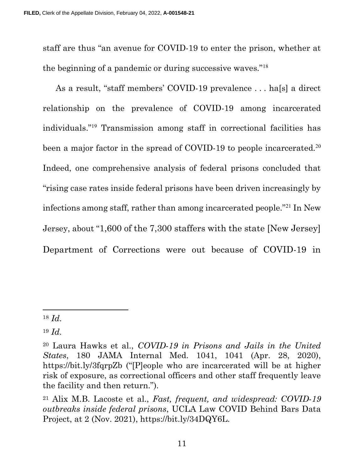staff are thus "an avenue for COVID-19 to enter the prison, whether at the beginning of a pandemic or during successive waves."<sup>18</sup>

As a result, "staff members' COVID-19 prevalence . . . ha[s] a direct relationship on the prevalence of COVID-19 among incarcerated individuals."<sup>19</sup> Transmission among staff in correctional facilities has been a major factor in the spread of COVID-19 to people incarcerated.<sup>20</sup> Indeed, one comprehensive analysis of federal prisons concluded that "rising case rates inside federal prisons have been driven increasingly by infections among staff, rather than among incarcerated people."<sup>21</sup> In New Jersey, about "1,600 of the 7,300 staffers with the state [New Jersey] Department of Corrections were out because of COVID-19 in

 $18$  *Id.* 

 $19 \; Id.$ 

<sup>20</sup> Laura Hawks et al., COVID-19 in Prisons and Jails in the United States, 180 JAMA Internal Med. 1041, 1041 (Apr. 28, 2020), https://bit.ly/3fqrpZb ("[P]eople who are incarcerated will be at higher risk of exposure, as correctional officers and other staff frequently leave the facility and then return.").

<sup>21</sup> Alix M.B. Lacoste et al., Fast, frequent, and widespread: COVID-19 outbreaks inside federal prisons, UCLA Law COVID Behind Bars Data Project, at 2 (Nov. 2021), https://bit.ly/34DQY6L.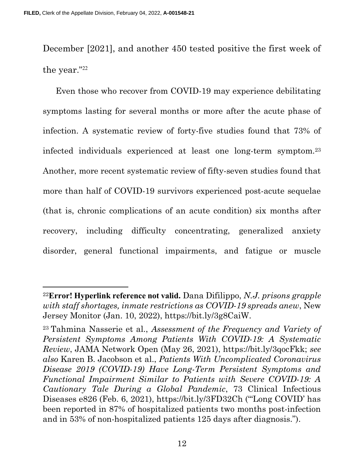December [2021], and another 450 tested positive the first week of the year."<sup>22</sup>

Even those who recover from COVID-19 may experience debilitating symptoms lasting for several months or more after the acute phase of infection. A systematic review of forty-five studies found that 73% of infected individuals experienced at least one long-term symptom.<sup>23</sup> Another, more recent systematic review of fifty-seven studies found that more than half of COVID-19 survivors experienced post-acute sequelae (that is, chronic complications of an acute condition) six months after recovery, including difficulty concentrating, generalized anxiety disorder, general functional impairments, and fatigue or muscle

<sup>&</sup>lt;sup>22</sup>Error! Hyperlink reference not valid. Dana Difilippo, N.J. prisons grapple with staff shortages, inmate restrictions as COVID-19 spreads anew, New Jersey Monitor (Jan. 10, 2022), https://bit.ly/3g8CaiW.

<sup>23</sup>Tahmina Nasserie et al., Assessment of the Frequency and Variety of Persistent Symptoms Among Patients With COVID-19: A Systematic Review, JAMA Network Open (May 26, 2021), https://bit.ly/3qocFkk; see also Karen B. Jacobson et al., Patients With Uncomplicated Coronavirus Disease 2019 (COVID-19) Have Long-Term Persistent Symptoms and Functional Impairment Similar to Patients with Severe COVID-19: A Cautionary Tale During a Global Pandemic, 73 Clinical Infectious Diseases e826 (Feb. 6, 2021), https://bit.ly/3FD32Ch ("'Long COVID' has been reported in 87% of hospitalized patients two months post-infection and in 53% of non-hospitalized patients 125 days after diagnosis.").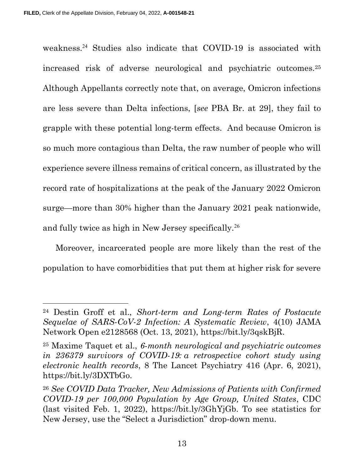weakness.<sup>24</sup> Studies also indicate that COVID-19 is associated with increased risk of adverse neurological and psychiatric outcomes.<sup>25</sup> Although Appellants correctly note that, on average, Omicron infections are less severe than Delta infections, [see PBA Br. at 29], they fail to grapple with these potential long-term effects. And because Omicron is so much more contagious than Delta, the raw number of people who will experience severe illness remains of critical concern, as illustrated by the record rate of hospitalizations at the peak of the January 2022 Omicron surge—more than 30% higher than the January 2021 peak nationwide, and fully twice as high in New Jersey specifically.<sup>26</sup>

Moreover, incarcerated people are more likely than the rest of the population to have comorbidities that put them at higher risk for severe

<sup>24</sup> Destin Groff et al., Short-term and Long-term Rates of Postacute Sequelae of SARS-CoV-2 Infection: A Systematic Review, 4(10) JAMA Network Open e2128568 (Oct. 13, 2021), https://bit.ly/3qskBjR.

<sup>&</sup>lt;sup>25</sup> Maxime Taquet et al., 6-month neurological and psychiatric outcomes in 236379 survivors of COVID-19: a retrospective cohort study using electronic health records, 8 The Lancet Psychiatry 416 (Apr. 6, 2021), https://bit.ly/3DXTbGo.

<sup>26</sup> See COVID Data Tracker, New Admissions of Patients with Confirmed COVID-19 per 100,000 Population by Age Group, United States, CDC (last visited Feb. 1, 2022), https://bit.ly/3GhYjGb. To see statistics for New Jersey, use the "Select a Jurisdiction" drop-down menu.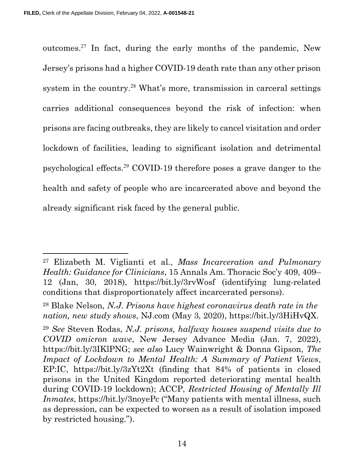outcomes.<sup>27</sup> In fact, during the early months of the pandemic, New Jersey's prisons had a higher COVID-19 death rate than any other prison system in the country.<sup>28</sup> What's more, transmission in carceral settings carries additional consequences beyond the risk of infection: when prisons are facing outbreaks, they are likely to cancel visitation and order lockdown of facilities, leading to significant isolation and detrimental psychological effects.<sup>29</sup> COVID-19 therefore poses a grave danger to the health and safety of people who are incarcerated above and beyond the already significant risk faced by the general public.

<sup>27</sup> Elizabeth M. Viglianti et al., Mass Incarceration and Pulmonary Health: Guidance for Clinicians, 15 Annals Am. Thoracic Soc'y 409, 409– 12 (Jan, 30, 2018), https://bit.ly/3rvWosf (identifying lung-related conditions that disproportionately affect incarcerated persons).

<sup>28</sup> Blake Nelson, N.J. Prisons have highest coronavirus death rate in the nation, new study shows, NJ.com (May 3, 2020), https://bit.ly/3HiHvQX.

<sup>29</sup> See Steven Rodas, N.J. prisons, halfway houses suspend visits due to COVID omicron wave, New Jersey Advance Media (Jan. 7, 2022), https://bit.ly/3IKlPNG; see also Lucy Wainwright & Donna Gipson, The Impact of Lockdown to Mental Health: A Summary of Patient Views, EP:IC, https://bit.ly/3zYt2Xt (finding that 84% of patients in closed prisons in the United Kingdom reported deteriorating mental health during COVID-19 lockdown); ACCP, Restricted Housing of Mentally Ill Inmates, https://bit.ly/3noyePc ("Many patients with mental illness, such as depression, can be expected to worsen as a result of isolation imposed by restricted housing.").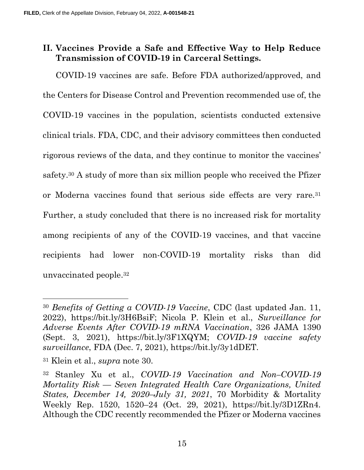# II. Vaccines Provide a Safe and Effective Way to Help Reduce Transmission of COVID-19 in Carceral Settings.

COVID-19 vaccines are safe. Before FDA authorized/approved, and the Centers for Disease Control and Prevention recommended use of, the COVID-19 vaccines in the population, scientists conducted extensive clinical trials. FDA, CDC, and their advisory committees then conducted rigorous reviews of the data, and they continue to monitor the vaccines' safety.30 A study of more than six million people who received the Pfizer or Moderna vaccines found that serious side effects are very rare.<sup>31</sup> Further, a study concluded that there is no increased risk for mortality among recipients of any of the COVID-19 vaccines, and that vaccine recipients had lower non-COVID-19 mortality risks than did unvaccinated people.<sup>32</sup>

<sup>30</sup> Benefits of Getting a COVID-19 Vaccine, CDC (last updated Jan. 11, 2022), https://bit.ly/3H6BsiF; Nicola P. Klein et al., Surveillance for Adverse Events After COVID-19 mRNA Vaccination, 326 JAMA 1390 (Sept. 3, 2021), https://bit.ly/3F1XQYM; COVID-19 vaccine safety surveillance, FDA (Dec. 7, 2021), https://bit.ly/3y1dDET.

<sup>31</sup> Klein et al., supra note 30.

<sup>32</sup> Stanley Xu et al., COVID-19 Vaccination and Non–COVID-19 Mortality Risk — Seven Integrated Health Care Organizations, United States, December 14, 2020–July 31, 2021, 70 Morbidity & Mortality Weekly Rep. 1520, 1520–24 (Oct. 29, 2021), https://bit.ly/3D1ZRn4. Although the CDC recently recommended the Pfizer or Moderna vaccines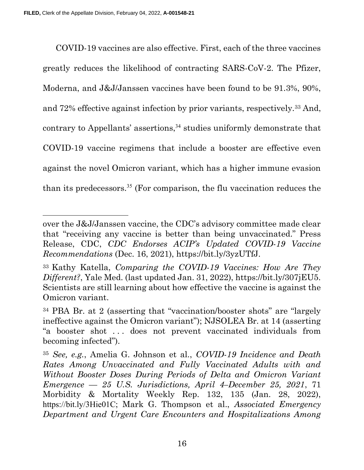COVID-19 vaccines are also effective. First, each of the three vaccines greatly reduces the likelihood of contracting SARS-CoV-2. The Pfizer, Moderna, and J&J/Janssen vaccines have been found to be 91.3%, 90%, and 72% effective against infection by prior variants, respectively.33 And, contrary to Appellants' assertions,<sup>34</sup> studies uniformly demonstrate that COVID-19 vaccine regimens that include a booster are effective even against the novel Omicron variant, which has a higher immune evasion than its predecessors.<sup>35</sup> (For comparison, the flu vaccination reduces the

over the J&J/Janssen vaccine, the CDC's advisory committee made clear that "receiving any vaccine is better than being unvaccinated." Press Release, CDC, CDC Endorses ACIP's Updated COVID-19 Vaccine Recommendations (Dec. 16, 2021), https://bit.ly/3yzUTfJ.

<sup>33</sup>Kathy Katella, Comparing the COVID-19 Vaccines: How Are They Different?, Yale Med. (last updated Jan. 31, 2022), https://bit.ly/307jEU5. Scientists are still learning about how effective the vaccine is against the Omicron variant.

<sup>34</sup> PBA Br. at 2 (asserting that "vaccination/booster shots" are "largely ineffective against the Omicron variant"); NJSOLEA Br. at 14 (asserting "a booster shot . . . does not prevent vaccinated individuals from becoming infected").

<sup>35</sup> See, e.g., Amelia G. Johnson et al., COVID-19 Incidence and Death Rates Among Unvaccinated and Fully Vaccinated Adults with and Without Booster Doses During Periods of Delta and Omicron Variant Emergence — 25 U.S. Jurisdictions, April 4–December 25, 2021, 71 Morbidity & Mortality Weekly Rep. 132, 135 (Jan. 28, 2022), https://bit.ly/3Hie01C; Mark G. Thompson et al., Associated Emergency Department and Urgent Care Encounters and Hospitalizations Among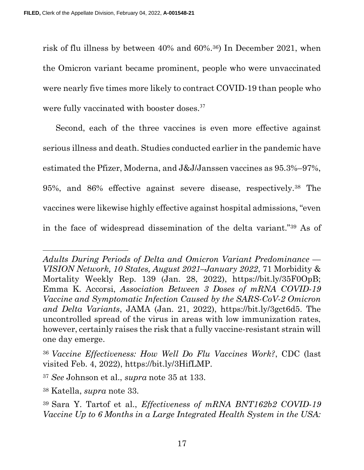risk of flu illness by between 40% and 60%.36) In December 2021, when the Omicron variant became prominent, people who were unvaccinated were nearly five times more likely to contract COVID-19 than people who were fully vaccinated with booster doses.<sup>37</sup>

Second, each of the three vaccines is even more effective against serious illness and death. Studies conducted earlier in the pandemic have estimated the Pfizer, Moderna, and J&J/Janssen vaccines as 95.3%–97%, 95%, and 86% effective against severe disease, respectively.38 The vaccines were likewise highly effective against hospital admissions, "even in the face of widespread dissemination of the delta variant."39 As of

Adults During Periods of Delta and Omicron Variant Predominance — VISION Network, 10 States, August 2021–January 2022, 71 Morbidity & Mortality Weekly Rep. 139 (Jan. 28, 2022), https://bit.ly/35F0OpB; Emma K. Accorsi, Association Between 3 Doses of mRNA COVID-19 Vaccine and Symptomatic Infection Caused by the SARS-CoV-2 Omicron and Delta Variants, JAMA (Jan. 21, 2022), https://bit.ly/3gct6d5. The uncontrolled spread of the virus in areas with low immunization rates, however, certainly raises the risk that a fully vaccine-resistant strain will one day emerge.

<sup>36</sup>Vaccine Effectiveness: How Well Do Flu Vaccines Work?, CDC (last visited Feb. 4, 2022), https://bit.ly/3HifLMP.

<sup>37</sup> See Johnson et al., supra note 35 at 133.

<sup>38</sup> Katella, supra note 33.

<sup>39</sup>Sara Y. Tartof et al., Effectiveness of mRNA BNT162b2 COVID-19 Vaccine Up to 6 Months in a Large Integrated Health System in the USA: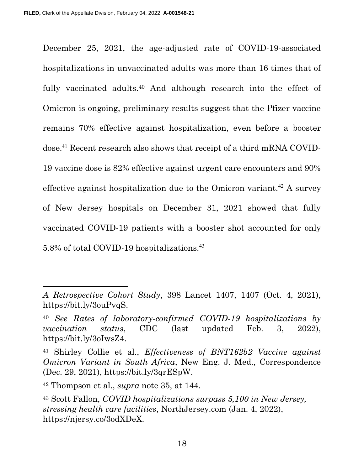December 25, 2021, the age-adjusted rate of COVID-19-associated hospitalizations in unvaccinated adults was more than 16 times that of fully vaccinated adults.<sup>40</sup> And although research into the effect of Omicron is ongoing, preliminary results suggest that the Pfizer vaccine remains 70% effective against hospitalization, even before a booster dose.41 Recent research also shows that receipt of a third mRNA COVID-19 vaccine dose is 82% effective against urgent care encounters and 90% effective against hospitalization due to the Omicron variant.<sup>42</sup> A survey of New Jersey hospitals on December 31, 2021 showed that fully vaccinated COVID-19 patients with a booster shot accounted for only 5.8% of total COVID-19 hospitalizations.<sup>43</sup>

A Retrospective Cohort Study, 398 Lancet 1407, 1407 (Oct. 4, 2021), https://bit.ly/3ouPvqS.

<sup>40</sup> See Rates of laboratory-confirmed COVID-19 hospitalizations by vaccination status, CDC (last updated Feb. 3, 2022), https://bit.ly/3oIwsZ4.

<sup>41</sup> Shirley Collie et al., Effectiveness of BNT162b2 Vaccine against Omicron Variant in South Africa, New Eng. J. Med., Correspondence (Dec. 29, 2021), https://bit.ly/3qrESpW.

 $42$  Thompson et al., *supra* note 35, at 144.

<sup>43</sup> Scott Fallon, COVID hospitalizations surpass 5,100 in New Jersey, stressing health care facilities, NorthJersey.com (Jan. 4, 2022), https://njersy.co/3odXDeX.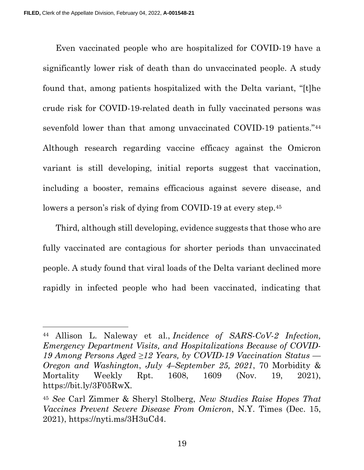Even vaccinated people who are hospitalized for COVID-19 have a significantly lower risk of death than do unvaccinated people. A study found that, among patients hospitalized with the Delta variant, "[t]he crude risk for COVID-19-related death in fully vaccinated persons was sevenfold lower than that among unvaccinated COVID-19 patients."<sup>44</sup> Although research regarding vaccine efficacy against the Omicron variant is still developing, initial reports suggest that vaccination, including a booster, remains efficacious against severe disease, and lowers a person's risk of dying from COVID-19 at every step.<sup>45</sup>

Third, although still developing, evidence suggests that those who are fully vaccinated are contagious for shorter periods than unvaccinated people. A study found that viral loads of the Delta variant declined more rapidly in infected people who had been vaccinated, indicating that

<sup>44</sup> Allison L. Naleway et al., Incidence of SARS-CoV-2 Infection, Emergency Department Visits, and Hospitalizations Because of COVID-19 Among Persons Aged  $\geq$ 12 Years, by COVID-19 Vaccination Status — Oregon and Washington, July 4–September 25, 2021, 70 Morbidity & Mortality Weekly Rpt. 1608, 1609 (Nov. 19, 2021), https://bit.ly/3F05RwX.

<sup>45</sup> See Carl Zimmer & Sheryl Stolberg, New Studies Raise Hopes That Vaccines Prevent Severe Disease From Omicron, N.Y. Times (Dec. 15, 2021), https://nyti.ms/3H3uCd4.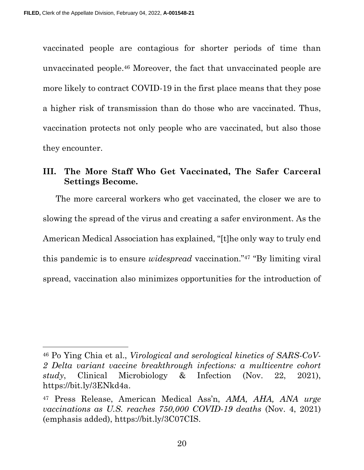vaccinated people are contagious for shorter periods of time than unvaccinated people.46 Moreover, the fact that unvaccinated people are more likely to contract COVID-19 in the first place means that they pose a higher risk of transmission than do those who are vaccinated. Thus, vaccination protects not only people who are vaccinated, but also those they encounter.

## III. The More Staff Who Get Vaccinated, The Safer Carceral Settings Become.

The more carceral workers who get vaccinated, the closer we are to slowing the spread of the virus and creating a safer environment. As the American Medical Association has explained, "[t]he only way to truly end this pandemic is to ensure widespread vaccination."47 "By limiting viral spread, vaccination also minimizes opportunities for the introduction of

<sup>46</sup> Po Ying Chia et al., Virological and serological kinetics of SARS-CoV-2 Delta variant vaccine breakthrough infections: a multicentre cohort study, Clinical Microbiology & Infection (Nov. 22, 2021), https://bit.ly/3ENkd4a.

<sup>47</sup> Press Release, American Medical Ass'n, AMA, AHA, ANA urge vaccinations as U.S. reaches 750,000 COVID-19 deaths (Nov. 4, 2021) (emphasis added), https://bit.ly/3C07CIS.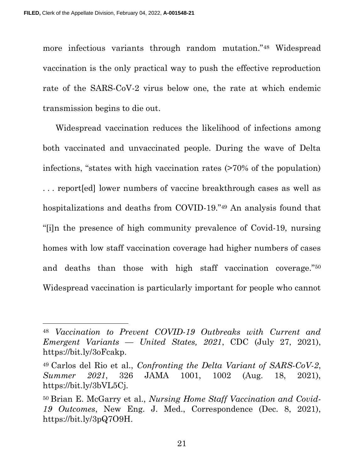more infectious variants through random mutation."48 Widespread vaccination is the only practical way to push the effective reproduction rate of the SARS-CoV-2 virus below one, the rate at which endemic transmission begins to die out.

Widespread vaccination reduces the likelihood of infections among both vaccinated and unvaccinated people. During the wave of Delta infections, "states with high vaccination rates (>70% of the population) . . . report[ed] lower numbers of vaccine breakthrough cases as well as hospitalizations and deaths from COVID-19."49 An analysis found that "[i]n the presence of high community prevalence of Covid-19, nursing homes with low staff vaccination coverage had higher numbers of cases and deaths than those with high staff vaccination coverage."<sup>50</sup> Widespread vaccination is particularly important for people who cannot

21

<sup>48</sup> Vaccination to Prevent COVID-19 Outbreaks with Current and Emergent Variants — United States, 2021, CDC (July 27, 2021), https://bit.ly/3oFcakp.

 $49$  Carlos del Rio et al., Confronting the Delta Variant of SARS-CoV-2, Summer 2021, 326 JAMA 1001, 1002 (Aug. 18, 2021), https://bit.ly/3bVL5Cj.

<sup>50</sup> Brian E. McGarry et al., Nursing Home Staff Vaccination and Covid-19 Outcomes, New Eng. J. Med., Correspondence (Dec. 8, 2021), https://bit.ly/3pQ7O9H.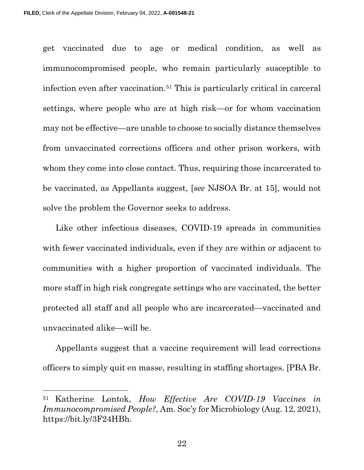get vaccinated due to age or medical condition, as well as immunocompromised people, who remain particularly susceptible to infection even after vaccination.51 This is particularly critical in carceral settings, where people who are at high risk—or for whom vaccination may not be effective—are unable to choose to socially distance themselves from unvaccinated corrections officers and other prison workers, with whom they come into close contact. Thus, requiring those incarcerated to be vaccinated, as Appellants suggest, [see NJSOA Br. at 15], would not solve the problem the Governor seeks to address.

Like other infectious diseases, COVID-19 spreads in communities with fewer vaccinated individuals, even if they are within or adjacent to communities with a higher proportion of vaccinated individuals. The more staff in high risk congregate settings who are vaccinated, the better protected all staff and all people who are incarcerated—vaccinated and unvaccinated alike—will be.

Appellants suggest that a vaccine requirement will lead corrections officers to simply quit en masse, resulting in staffing shortages. [PBA Br.

22

<sup>&</sup>lt;sup>51</sup> Katherine Lontok, How Effective Are COVID-19 Vaccines in Immunocompromised People?, Am. Soc'y for Microbiology (Aug. 12, 2021), https://bit.ly/3F24HBh.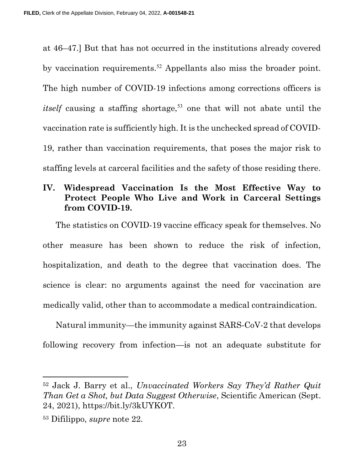at 46–47.] But that has not occurred in the institutions already covered by vaccination requirements.<sup>52</sup> Appellants also miss the broader point. The high number of COVID-19 infections among corrections officers is *itself* causing a staffing shortage,<sup>53</sup> one that will not abate until the vaccination rate is sufficiently high. It is the unchecked spread of COVID-19, rather than vaccination requirements, that poses the major risk to staffing levels at carceral facilities and the safety of those residing there.

# IV. Widespread Vaccination Is the Most Effective Way to Protect People Who Live and Work in Carceral Settings from COVID-19.

The statistics on COVID-19 vaccine efficacy speak for themselves. No other measure has been shown to reduce the risk of infection, hospitalization, and death to the degree that vaccination does. The science is clear: no arguments against the need for vaccination are medically valid, other than to accommodate a medical contraindication.

Natural immunity—the immunity against SARS-CoV-2 that develops following recovery from infection—is not an adequate substitute for

<sup>52</sup> Jack J. Barry et al., Unvaccinated Workers Say They'd Rather Quit Than Get a Shot, but Data Suggest Otherwise, Scientific American (Sept. 24, 2021), https://bit.ly/3kUYKOT.

<sup>53</sup> Difilippo, supre note 22.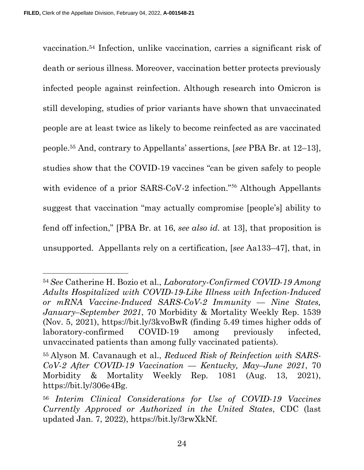vaccination.54 Infection, unlike vaccination, carries a significant risk of death or serious illness. Moreover, vaccination better protects previously infected people against reinfection. Although research into Omicron is still developing, studies of prior variants have shown that unvaccinated people are at least twice as likely to become reinfected as are vaccinated people.55 And, contrary to Appellants' assertions, [see PBA Br. at 12–13], studies show that the COVID-19 vaccines "can be given safely to people with evidence of a prior SARS-CoV-2 infection."<sup>56</sup> Although Appellants suggest that vaccination "may actually compromise [people's] ability to fend off infection," [PBA Br. at 16, see also id. at 13], that proposition is unsupported. Appellants rely on a certification, [see Aa133–47], that, in

<sup>54</sup>See Catherine H. Bozio et al., Laboratory-Confirmed COVID-19 Among Adults Hospitalized with COVID-19-Like Illness with Infection-Induced or mRNA Vaccine-Induced SARS-CoV-2 Immunity — Nine States, January–September 2021, 70 Morbidity & Mortality Weekly Rep. 1539 (Nov. 5, 2021), https://bit.ly/3kvoBwR (finding 5.49 times higher odds of laboratory-confirmed COVID-19 among previously infected, unvaccinated patients than among fully vaccinated patients).

<sup>55</sup> Alyson M. Cavanaugh et al., Reduced Risk of Reinfection with SARS- $CoV-2$  After COVID-19 Vaccination — Kentucky, May-June 2021, 70 Morbidity & Mortality Weekly Rep. 1081 (Aug. 13, 2021), https://bit.ly/306e4Bg.

<sup>56</sup> Interim Clinical Considerations for Use of COVID-19 Vaccines Currently Approved or Authorized in the United States, CDC (last updated Jan. 7, 2022), https://bit.ly/3rwXkNf.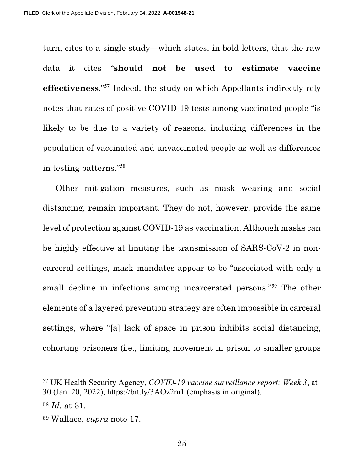turn, cites to a single study—which states, in bold letters, that the raw data it cites "should not be used to estimate vaccine effectiveness."<sup>57</sup> Indeed, the study on which Appellants indirectly rely notes that rates of positive COVID-19 tests among vaccinated people "is likely to be due to a variety of reasons, including differences in the population of vaccinated and unvaccinated people as well as differences in testing patterns."<sup>58</sup>

Other mitigation measures, such as mask wearing and social distancing, remain important. They do not, however, provide the same level of protection against COVID-19 as vaccination. Although masks can be highly effective at limiting the transmission of SARS-CoV-2 in noncarceral settings, mask mandates appear to be "associated with only a small decline in infections among incarcerated persons."<sup>59</sup> The other elements of a layered prevention strategy are often impossible in carceral settings, where "[a] lack of space in prison inhibits social distancing, cohorting prisoners (i.e., limiting movement in prison to smaller groups

<sup>57</sup> UK Health Security Agency, COVID-19 vaccine surveillance report: Week 3, at 30 (Jan. 20, 2022), https://bit.ly/3AOz2m1 (emphasis in original).

<sup>58</sup> Id. at 31.

<sup>59</sup> Wallace, supra note 17.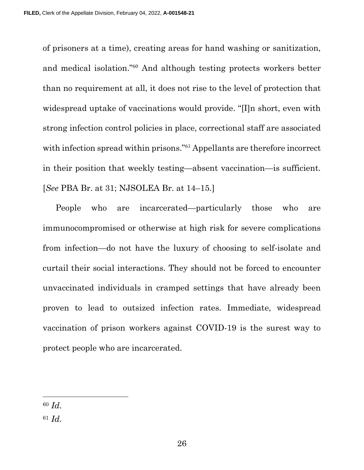of prisoners at a time), creating areas for hand washing or sanitization, and medical isolation."<sup>60</sup> And although testing protects workers better than no requirement at all, it does not rise to the level of protection that widespread uptake of vaccinations would provide. "[I]n short, even with strong infection control policies in place, correctional staff are associated with infection spread within prisons."<sup>61</sup> Appellants are therefore incorrect in their position that weekly testing—absent vaccination—is sufficient. [See PBA Br. at 31; NJSOLEA Br. at 14–15.]

People who are incarcerated—particularly those who are immunocompromised or otherwise at high risk for severe complications from infection—do not have the luxury of choosing to self-isolate and curtail their social interactions. They should not be forced to encounter unvaccinated individuals in cramped settings that have already been proven to lead to outsized infection rates. Immediate, widespread vaccination of prison workers against COVID-19 is the surest way to protect people who are incarcerated.

<sup>60</sup> Id.

 $61$  *Id.*